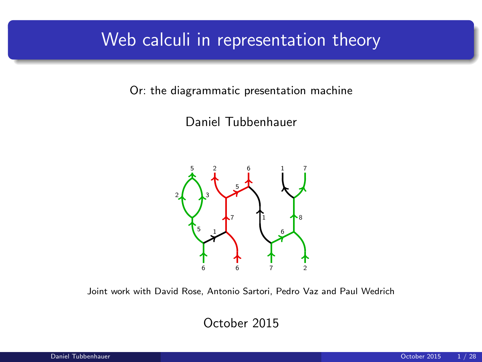### Web calculi in representation theory

Or: the diagrammatic presentation machine

Daniel Tubbenhauer



Joint work with David Rose, Antonio Sartori, Pedro Vaz and Paul Wedrich

October 2015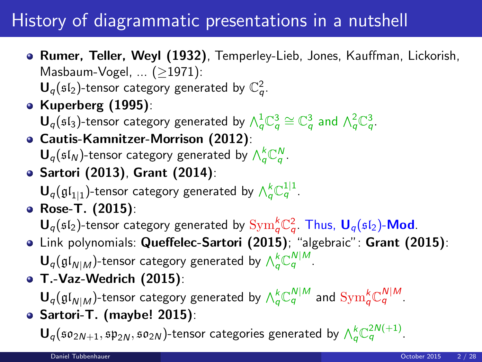## History of diagrammatic presentations in a nutshell

**• Rumer, Teller, Weyl (1932)**, Temperley-Lieb, Jones, Kauffman, Lickorish, Masbaum-Vogel, ... (≥1971):

 $\mathbf{U}_q(\mathfrak{sl}_2)$ -tensor category generated by  $\mathbb{C}_q^2$ .

- Kuperberg (1995): **-tensor category generated by**  $\wedge_q^1 \mathbb{C}_q^3 \cong \mathbb{C}_q^3$  **and**  $\wedge_q^2 \mathbb{C}_q^3$ **.**
- Cautis-Kamnitzer-Morrison (2012):  $\mathbf{U}_q(\mathfrak{sl}_N)$ -tensor category generated by  $\bigwedge_q^k \mathbb{C}_q^N$ .
- Sartori (2013), Grant (2014):  ${\mathbf U}_q(\mathfrak{gl}_{1|1})$ -tensor category generated by  $\bigwedge_q^k \mathbb{C}_q^{1|1}.$
- Rose-T. (2015):  ${\sf U}_q(\mathfrak{sl}_2)$ -tensor category generated by  $\mathrm{Sym}_q^k {\mathbb C}_q^2$ . Thus,  ${\sf U}_q(\mathfrak{sl}_2)$ -Mod.
- Link polynomials: Queffelec-Sartori (2015); "algebraic": Grant (2015):  ${\mathbf U}_q(\mathfrak{gl}_{N|M})$ -tensor category generated by  $\wedge_q^k \mathbb{C}_q^{N|M}.$
- T.-Vaz-Wedrich (2015):

 ${\sf U}_q(\frak{gl}_{N|M})$ -tensor category generated by  $\wedge_q^k{\Bbb C}_q^{N|M}$  and  ${\rm Sym}_q^k{\Bbb C}_q^{N|M}.$ Sartori-T. (maybe! 2015):

**(so<sub>2N+1</sub>, sp<sub>2N</sub>, so<sub>2N</sub>)-tensor categories generated by**  $\wedge_q^k$  **C<sup>2N(+1)</sup>.**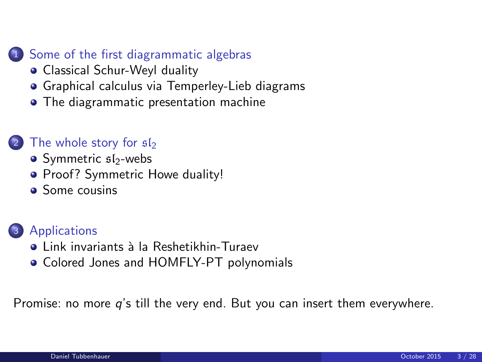#### 1 [Some of the first diagrammatic algebras](#page-3-0)

- [Classical Schur-Weyl duality](#page-3-0)
- [Graphical calculus via Temperley-Lieb diagrams](#page-7-0)
- **•** [The diagrammatic presentation machine](#page-10-0)

#### [The whole story for](#page-12-0)  $s1$

- $\bullet$  [Symmetric](#page-12-0)  $$I_2$ -webs
- [Proof? Symmetric Howe duality!](#page-15-0)
- **•** [Some cousins](#page-19-0)

#### <sup>3</sup> [Applications](#page-21-0)

- **•** Link invariants à la Reshetikhin-Turaev
- [Colored Jones and HOMFLY-PT polynomials](#page-22-0)

Promise: no more  $q$ 's till the very end. But you can insert them everywhere.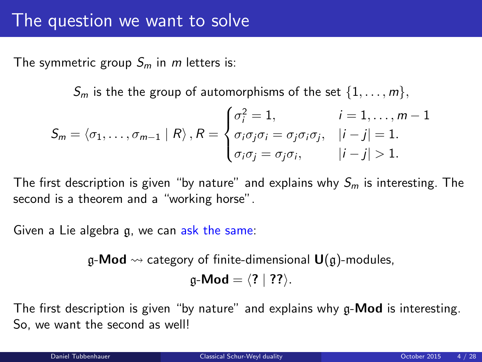The symmetric group  $S_m$  in m letters is:

 $S_m$  is the the group of automorphisms of the set  $\{1, \ldots, m\}$ ,

$$
S_m = \langle \sigma_1, \ldots, \sigma_{m-1} \mid R \rangle, R = \begin{cases} \sigma_i^2 = 1, & i = 1, \ldots, m-1 \\ \sigma_i \sigma_j \sigma_i = \sigma_j \sigma_i \sigma_j, & |i - j| = 1. \\ \sigma_i \sigma_j = \sigma_j \sigma_i, & |i - j| > 1. \end{cases}
$$

The first description is given "by nature" and explains why  $S_m$  is interesting. The second is a theorem and a "working horse".

Given a Lie algebra g, we can ask the same:

 $\mathfrak{g}\text{-}\mathsf{Mod}\to$  category of finite-dimensional  $\mathsf{U}(\mathfrak{g})$ -modules,

<span id="page-3-0"></span> $g-Mod = \langle ? | ? ? \rangle$ .

The first description is given "by nature" and explains why  $g$ -**Mod** is interesting. So, we want the second as well!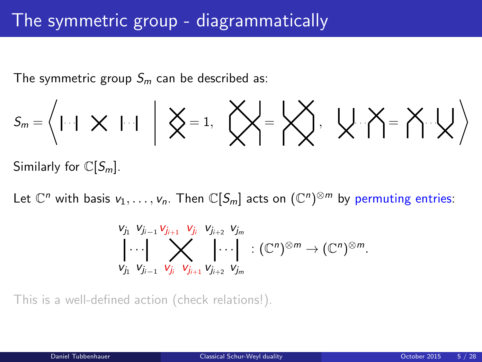The symmetric group  $S_m$  can be described as:

$$
S_m = \left\langle | \cdot | \cdot | \times | \cdot | \cdot | \cdot | \right\rangle \left\langle \right\rangle = 1, \cdot \left\langle \right\rangle \left\langle \right\rangle = \left\langle \right\rangle \left\langle \right\rangle, \cdot \left\langle \right\rangle \left\langle \right\rangle = \left\langle \right\rangle \left\langle \cdot \right\rangle \left\langle \right\rangle
$$

Similarly for  $\mathbb{C}[S_m]$ .

Let  $\mathbb{C}^n$  with basis  $v_1,\ldots,v_n.$  Then  $\mathbb{C}[S_m]$  acts on  $(\mathbb{C}^n)^{\otimes m}$  by permuting entries:

$$
\bigvee_{V_{j_1}} V_{j_{i-1}} \bigvee_{V_{j_{i-1}}} V_{j_{i+1}} V_{j_i} V_{j_{i+2}} V_{j_m} \cdot \bigotimes_{V_{j_1}} V_{j_{i+2}} V_{j_m} : (\mathbb{C}^n)^{\otimes m} \to (\mathbb{C}^n)^{\otimes m}.
$$

This is a well-defined action (check relations!).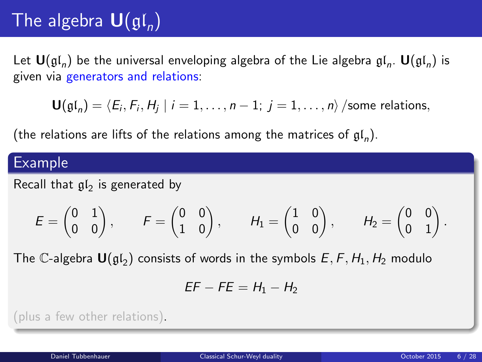# The algebra  $\mathbf{U}(\mathfrak{gl}_n)$

Let  $\mathbf{U}(\mathfrak{gl}_n)$  be the universal enveloping algebra of the Lie algebra  $\mathfrak{gl}_n$ .  $\mathbf{U}(\mathfrak{gl}_n)$  is given via generators and relations:

 ${\bf U}(\mathfrak{gl}_n)=\langle E_i, F_i, H_j\mid i=1,\ldots, n-1; \ j=1,\ldots, n\rangle$  /some relations,

(the relations are lifts of the relations among the matrices of  $\mathfrak{gl}_n$ ).

#### Example

Recall that  $\mathfrak{gl}_2$  is generated by

$$
\mathcal{E} = \begin{pmatrix} 0 & 1 \\ 0 & 0 \end{pmatrix}, \qquad \mathcal{F} = \begin{pmatrix} 0 & 0 \\ 1 & 0 \end{pmatrix}, \qquad \mathcal{H}_1 = \begin{pmatrix} 1 & 0 \\ 0 & 0 \end{pmatrix}, \qquad \mathcal{H}_2 = \begin{pmatrix} 0 & 0 \\ 0 & 1 \end{pmatrix}.
$$

The C-algebra  $\mathbf{U}(\mathfrak{gl}_2)$  consists of words in the symbols  $E, F, H_1, H_2$  modulo

$$
EF - FE = H_1 - H_2
$$

(plus a few other relations).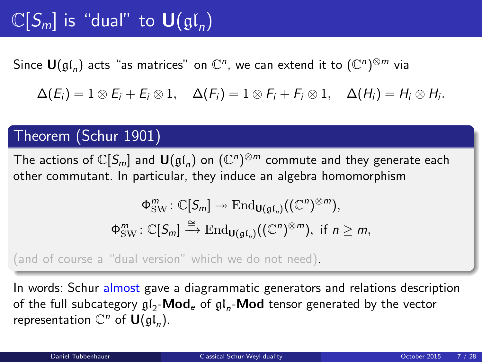# $\mathbb{C}[S_m]$  is "dual" to  $\mathsf{U}(\mathfrak{gl}_n)$

Since  $\mathsf{U}(\mathfrak{gl}_n)$  acts "as matrices" on  $\mathbb{C}^n$ , we can extend it to  $(\mathbb{C}^n)^{\otimes m}$  via

 $\Delta(E_i)=1\otimes E_i+E_i\otimes 1,\quad \Delta(F_i)=1\otimes F_i+F_i\otimes 1,\quad \Delta(H_i)=H_i\otimes H_i.$ 

#### Theorem (Schur 1901)

The actions of  $\mathbb{C}[S_m]$  and  $\mathsf{U}(\mathfrak{gl}_n)$  on  $(\mathbb{C}^n)^{\otimes m}$  commute and they generate each other commutant. In particular, they induce an algebra homomorphism

$$
\Phi_{\rm SW}^m: \mathbb{C}[S_m] \twoheadrightarrow \text{End}_{\mathbf{U}(\mathfrak{gl}_n)}((\mathbb{C}^n)^{\otimes m}),
$$
  

$$
\Phi_{\rm SW}^m: \mathbb{C}[S_m] \xrightarrow{\cong} \text{End}_{\mathbf{U}(\mathfrak{gl}_n)}((\mathbb{C}^n)^{\otimes m}), \text{ if } n \ge m,
$$

(and of course a "dual version" which we do not need).

In words: Schur almost gave a diagrammatic generators and relations description of the full subcategory  $\mathfrak{gl}_2\text{-}\mathsf{Mod}_e$  of  $\mathfrak{gl}_n\text{-}\mathsf{Mod}$  tensor generated by the vector representation  $\mathbb{C}^n$  of  $\mathsf{U}(\mathfrak{gl}_n)$ .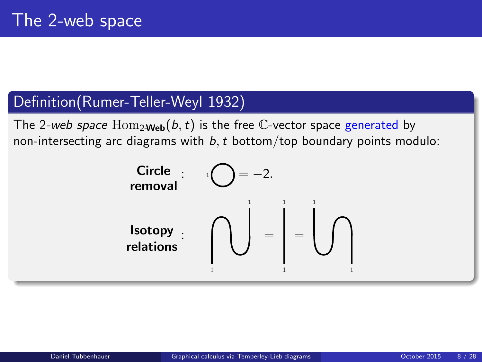### Definition(Rumer-Teller-Weyl 1932)

The 2-web space  $\text{Hom}_{2\text{Web}}(b, t)$  is the free C-vector space generated by non-intersecting arc diagrams with  $b, t$  bottom/top boundary points modulo:

<span id="page-7-0"></span>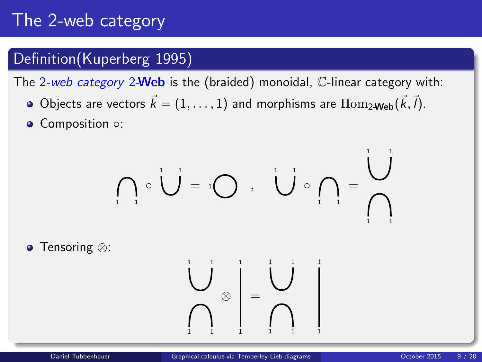# The 2-web category

### Definition(Kuperberg 1995)

The 2-web category 2-Web is the (braided) monoidal, C-linear category with:

- Objects are vectors  $\vec{k} = (1, \ldots, 1)$  and morphisms are  $\text{Hom}_{2\text{-Web}}(\vec{k}, \vec{l}).$
- Composition ○:

$$
\left\{\bigcap_{i=1}^{n} \circ \bigcup_{i=1}^{n} \alpha_{i} \right\} = \left\{\bigcup_{i=1}^{n} \circ \bigcap_{i=1}^{n} \alpha_{i} \right\} = \left\{\bigcup_{i=1}^{n} \alpha_{i} \right\}
$$

● Tensoring ⊗

1 1 1

1 1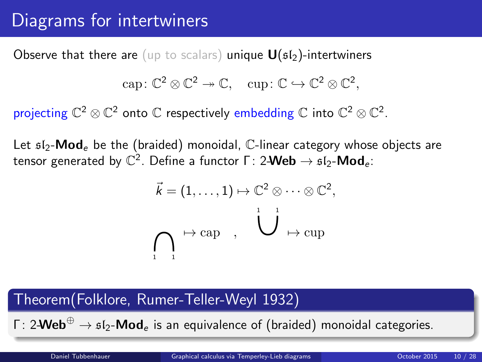## Diagrams for intertwiners

Observe that there are (up to scalars) unique  $U(sI_2)$ -intertwiners

$$
\mathrm{cap}\colon \mathbb{C}^2\otimes \mathbb{C}^2\twoheadrightarrow \mathbb{C},\quad \mathrm{cup}\colon \mathbb{C}\hookrightarrow \mathbb{C}^2\otimes \mathbb{C}^2,
$$

projecting  $\mathbb{C}^2\otimes\mathbb{C}^2$  onto  $\mathbb C$  respectively embedding  $\mathbb C$  into  $\mathbb{C}^2\otimes\mathbb{C}^2.$ 

Let  $sI_2$ -Mod<sub>e</sub> be the (braided) monoidal,  $\mathbb{C}$ -linear category whose objects are tensor generated by  $\mathbb{C}^2.$  Define a functor Γ: 2-Web  $\rightarrow$   $\mathfrak{sl}_2\text{-}\mathsf{Mod}_e$ :

$$
\vec{k} = (1, \ldots, 1) \mapsto \mathbb{C}^2 \otimes \cdots \otimes \mathbb{C}^2,
$$
  

$$
\bigcap_{i=1}^n \mapsto \text{cap} \quad , \quad \bigcup_{i=1}^n \mapsto \text{cup}
$$

### Theorem(Folklore, Rumer-Teller-Weyl 1932)

Γ: 2-Web<sup>⊕</sup>  $\rightarrow$   $\mathfrak{sl}_2$ -Mod<sub>e</sub> is an equivalence of (braided) monoidal categories.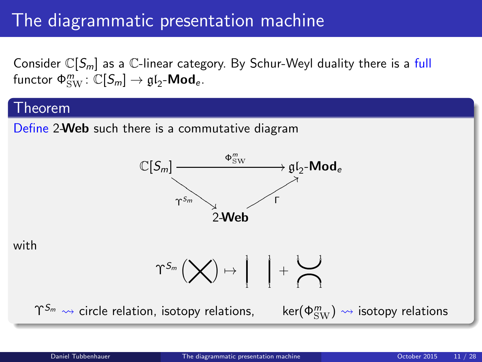## The diagrammatic presentation machine

Consider  $\mathbb{C}[S_m]$  as a  $\mathbb{C}$ -linear category. By Schur-Weyl duality there is a full functor  $\Phi_{\rm SW}^m \colon \mathbb{C}[S_m] \to \mathfrak{gl}_2\text{-}\mathsf{Mod}_e$ .

#### Theorem

Define 2-Web such there is a commutative diagram



with

$$
\Upsilon^{S_m}\left(\bigtimes\right)\mapsto\left.\begin{matrix} &\ \\ & \end{matrix}\right\vert\quad \left\vert+\begin{matrix} \displaystyle\bigcup\ \\ \displaystyle\bigcap\end{matrix}\right.
$$

 $\Upsilon^{S_m} \rightsquigarrow$  circle relation, isotopy relations,

<span id="page-10-0"></span> $\ker(\Phi_{\rm SW}^m) \rightsquigarrow$  isotopy relations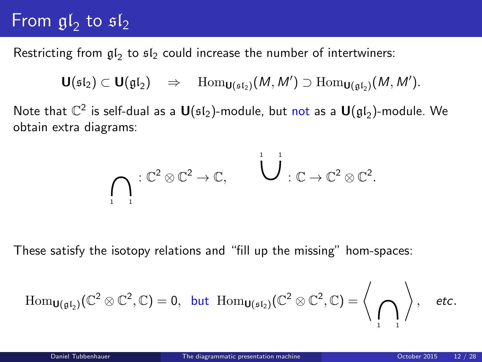# From  $\mathfrak{gl}_2$  to  $\mathfrak{sl}_2$

Restricting from  $\mathfrak{gl}_2$  to  $\mathfrak{sl}_2$  could increase the number of intertwiners:

$$
\textup{\textbf{U}}(\mathfrak{sl}_2)\subset \textup{\textbf{U}}(\mathfrak{gl}_2)\quad \Rightarrow\quad \mathrm{Hom}_{\textup{\textbf{U}}(\mathfrak{sl}_2)}(M,M')\supset \mathrm{Hom}_{\textup{\textbf{U}}(\mathfrak{gl}_2)}(M,M').
$$

Note that  $\mathbb{C}^2$  is self-dual as a  $\textsf{U}(\mathfrak{sl}_2)$ -module, but not as a  $\textsf{U}(\mathfrak{gl}_2)$ -module. We obtain extra diagrams:

$$
\bigcap_{i=1}^n:\mathbb{C}^2\otimes\mathbb{C}^2\to\mathbb{C},\qquad \bigcup_{i=1}^n:\mathbb{C}\to\mathbb{C}^2\otimes\mathbb{C}^2.
$$

These satisfy the isotopy relations and "fill up the missing" hom-spaces:

$$
\mathrm{Hom}_{\textbf{U}(\mathfrak{gl}_2)}(\mathbb{C}^2\otimes \mathbb{C}^2,\mathbb{C})=0,\ \, \text{but}\ \, \mathrm{Hom}_{\textbf{U}(\mathfrak{sl}_2)}(\mathbb{C}^2\otimes \mathbb{C}^2,\mathbb{C})=\Bigg\langle\,\bigcap_{1\quad,1}\,\Bigg\rangle\,,\quad \text{etc.}
$$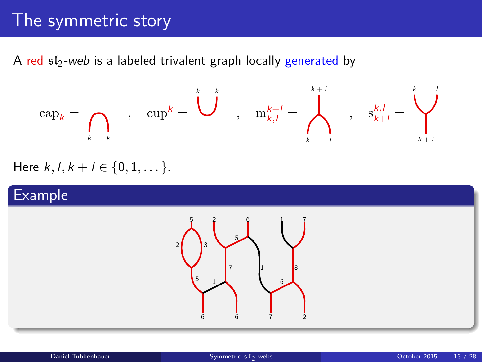### The symmetric story

A red  $sI_2$ -web is a labeled trivalent graph locally generated by

$$
\mathrm{cap}_k = \bigcap_{k \quad k} \qquad , \quad \mathrm{cup}^k = \bigcup_{k \quad \text{on} \quad k+l} \qquad , \quad \mathrm{m}_{k,l}^{k+l} = \bigwedge_{k \quad \text{on} \quad k \atop k \text{ odd}}^{k+l} \qquad , \quad \mathrm{s}_{k+l}^{k,l} = \bigvee_{k \quad \text{on} \quad k+l}^{k}
$$

Here  $k, l, k+l \in \{0, 1, \dots\}$ .

#### Example

<span id="page-12-0"></span>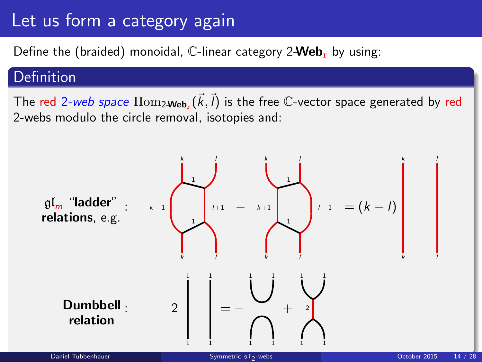## Let us form a category again

Define the (braided) monoidal,  $\mathbb{C}$ -linear category 2-Web<sub>r</sub> by using:

#### Definition

The red 2-web space  $\mathrm{Hom}_{2\textbf{-Web}_r}(\vec{k},\vec{l})$  is the free  $\mathbb C$ -vector space generated by red 2-webs modulo the circle removal, isotopies and:

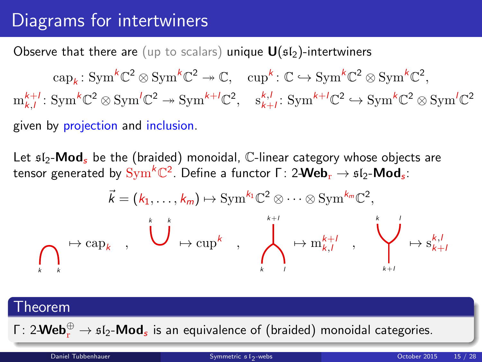# Diagrams for intertwiners

Observe that there are (up to scalars) unique  $U(s_1)$ -intertwiners

 $\text{cap}_k: \text{Sym}^k \mathbb{C}^2 \otimes \text{Sym}^k \mathbb{C}^2 \to \mathbb{C}, \quad \text{cup}^k: \mathbb{C} \hookrightarrow \text{Sym}^k \mathbb{C}^2 \otimes \text{Sym}^k \mathbb{C}^2,$  $m_{k,l}^{k+l}$ : Sym<sup>k</sup>C<sup>2</sup>  $\otimes$  Sym<sup> $'C^2 \rightarrow$ </sup> Sym<sup>k+*l*</sup>C<sup>2</sup>, s<sub>k+*l*</sub>: Sym<sup>k+*l*</sup>C<sup>2</sup>  $\hookrightarrow$  Sym<sup>k</sup>C<sup>2</sup>  $\otimes$  Sym<sup>*l*</sup>C<sup>2</sup> given by projection and inclusion.

Let  $512$ -**Mod**, be the (braided) monoidal, C-linear category whose objects are tensor generated by  $\mathrm{Sym}^k\mathbb{C}^2.$  Define a functor  $\mathsf{\Gamma}\colon 2\text{-}\mathsf{Web}_\mathrm{r}\to \mathfrak{sl}_2\text{-}\mathsf{Mod}_s.$ 

$$
\vec{k} = (k_1, \ldots, k_m) \mapsto \operatorname{Sym}^{k_1} \mathbb{C}^2 \otimes \cdots \otimes \operatorname{Sym}^{k_m} \mathbb{C}^2,
$$
\n
$$
\longmapsto \operatorname{cap}_k \qquad \qquad \downarrow \qquad \qquad \downarrow \qquad \downarrow \qquad \downarrow \qquad \downarrow \qquad \downarrow \qquad \downarrow \qquad \downarrow \qquad \downarrow \qquad \downarrow \qquad \downarrow \qquad \downarrow \qquad \downarrow \qquad \downarrow \qquad \downarrow \qquad \downarrow \qquad \downarrow \qquad \downarrow \qquad \downarrow \qquad \downarrow \qquad \downarrow \qquad \downarrow \qquad \downarrow \qquad \downarrow \qquad \downarrow \qquad \downarrow \qquad \downarrow \qquad \downarrow \qquad \downarrow \qquad \downarrow \qquad \downarrow \qquad \downarrow \qquad \downarrow \qquad \downarrow \qquad \downarrow \qquad \downarrow \qquad \downarrow \qquad \downarrow \qquad \downarrow \qquad \downarrow \qquad \downarrow \qquad \downarrow \qquad \downarrow \qquad \downarrow \qquad \downarrow \qquad \downarrow \qquad \downarrow \qquad \downarrow \qquad \downarrow \qquad \downarrow \qquad \downarrow \qquad \downarrow \qquad \downarrow \qquad \downarrow \qquad \downarrow \qquad \downarrow \qquad \downarrow \qquad \downarrow \qquad \downarrow \qquad \downarrow \qquad \downarrow \qquad \downarrow \qquad \downarrow \qquad \downarrow \qquad \downarrow \qquad \downarrow \qquad \downarrow \qquad \downarrow \qquad \downarrow \qquad \downarrow \qquad \downarrow \qquad \downarrow \qquad \downarrow \qquad \downarrow \qquad \downarrow \qquad \downarrow \qquad \downarrow \qquad \downarrow \qquad \downarrow \qquad \downarrow \qquad \downarrow \qquad \downarrow \qquad \downarrow \qquad \downarrow \qquad \downarrow \qquad \downarrow \qquad \downarrow \qquad \downarrow \qquad \downarrow \qquad \downarrow \qquad \downarrow \qquad \downarrow \qquad \downarrow \qquad \downarrow \qquad \downarrow \qquad \downarrow \qquad \downarrow \qquad \downarrow \qquad \downarrow \qquad \downarrow \qquad \downarrow \qquad \downarrow \qquad \downarrow \qquad \downarrow \qquad \downarrow \qquad \downarrow \qquad \downarrow \qquad \downarrow \qquad \downarrow \qquad \downarrow \qquad \downarrow \q
$$

#### Theorem

Γ: 2- $\mathsf{Web}^{\oplus}_{\rm r} \to \mathfrak{sl}_2\text{-}\mathsf{Mod}_{\mathfrak{s}}$  is an equivalence of (braided) monoidal categories.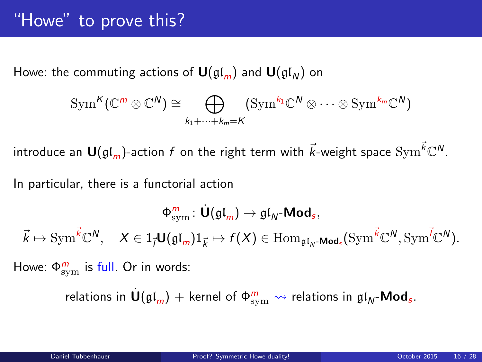### "Howe" to prove this?

Howe: the commuting actions of  $\mathbf{U}(\mathfrak{gl}_m)$  and  $\mathbf{U}(\mathfrak{gl}_N)$  on

$$
\operatorname{Sym}^K(\mathbb{C}^m \otimes \mathbb{C}^N) \cong \bigoplus_{k_1 + \dots + k_m = K} (\operatorname{Sym}^{k_1} \mathbb{C}^N \otimes \dots \otimes \operatorname{Sym}^{k_m} \mathbb{C}^N)
$$

introduce an  $\bm{\mathsf{U}}(\mathfrak{gl}_m)$ -action  $f$  on the right term with  $\vec{k}$ -weight space  $\mathrm{Sym}^{\vec{k}}\mathbb{C}^N.$ 

In particular, there is a functorial action

$$
\Phi_{\rm sym}^m\colon \dot{\textbf U}(\mathfrak{gl}_m)\to \mathfrak{gl}_N\textbf{-Mod}_s,\\ \vec k\mapsto {\rm Sym}^{\vec k}\mathbb{C}^N,\quad X\in 1_{\vec l}\textbf U(\mathfrak{gl}_m)1_{\vec k}\mapsto f(X)\in {\rm Hom}_{\mathfrak{gl}_N\textbf{-Mod}_s}({\rm Sym}^{\vec k}\mathbb{C}^N,{\rm Sym}^{\vec l}\mathbb{C}^N).
$$

Howe:  $\Phi_{\text{sym}}^m$  is full. Or in words:

<span id="page-15-0"></span>relations in  $\dot{\textbf U}(\mathfrak{gl}_m)+$  kernel of  $\Phi_{\text{sym}}^m \leadsto$  relations in  $\mathfrak{gl}_N\text{-}\textbf{Mod}_s.$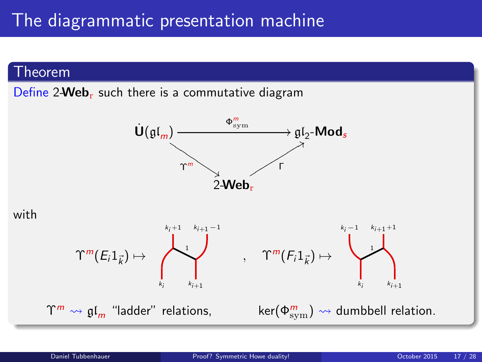#### Theorem

Define  $2$ -Web<sub>r</sub> such there is a commutative diagram





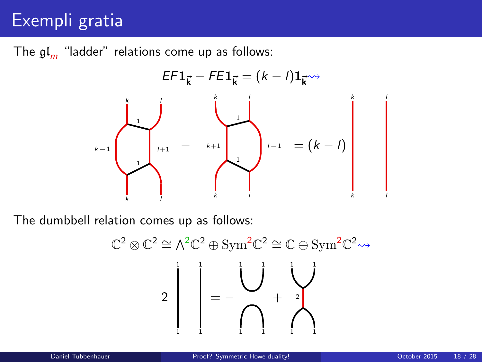# Exempli gratia

The  $\mathfrak{gl}_m$  "ladder" relations come up as follows:



The dumbbell relation comes up as follows:

$$
\mathbb{C}^2 \otimes \mathbb{C}^2 \cong \Lambda^2 \mathbb{C}^2 \oplus \text{Sym}^2 \mathbb{C}^2 \cong \mathbb{C} \oplus \text{Sym}^2 \mathbb{C}^2 \rightsquigarrow
$$

$$
2 \begin{bmatrix} 1 & 1 & 1 \\ 1 & 1 & 1 \\ 1 & 1 & 1 \end{bmatrix} = - \begin{bmatrix} 1 & 1 & 1 \\ 1 & 1 & 1 \\ 1 & 1 & 1 \end{bmatrix}
$$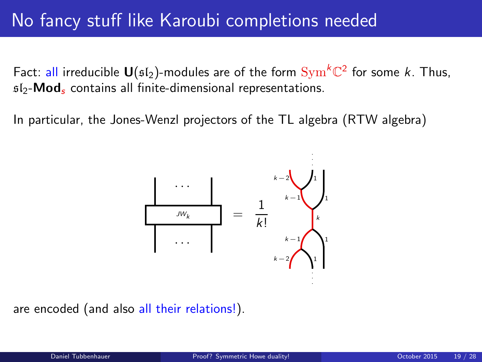### No fancy stuff like Karoubi completions needed

Fact: all irreducible  $\mathsf{U}(\mathfrak{sl}_2)$ -modules are of the form  $\mathrm{Sym}^k \mathbb{C}^2$  for some  $k.$  Thus,  $sI_2$ -Mod<sub>s</sub> contains all finite-dimensional representations.

In particular, the Jones-Wenzl projectors of the TL algebra (RTW algebra)



are encoded (and also all their relations!).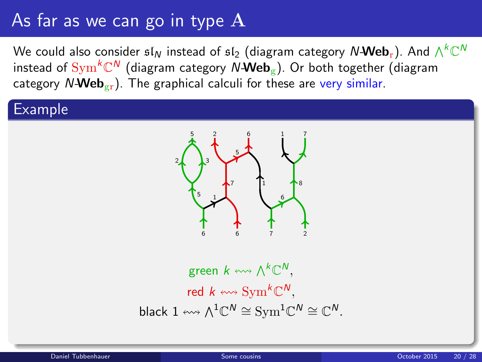# As far as we can go in type  $\rm A$

We could also consider  $\mathfrak{sl}_N$  instead of  $\mathfrak{sl}_2$  (diagram category  $\mathcal{N}\text{-}\mathbf{Web}_\mathrm{r}$ ). And  $\wedge^k\mathbb{C}^N$ instead of  $\mathrm{Sym}^k\mathbb{C}^N$  (diagram category  $N$ -Web $_\mathrm{g}$ ). Or both together (diagram category  $N\text{-Web}_{gr}$ ). The graphical calculi for these are very similar.

#### Example



<span id="page-19-0"></span>green  $k \leftrightsquigarrow \bigwedge^k \mathbb{C}^N,$ red  $k \leftrightsquigarrow \mathrm{Sym}^k \mathbb{C}^N,$ black  $1 \leftrightsquigarrow \wedge^1 \mathbb{C}^N \cong \mathrm{Sym}^1 \mathbb{C}^N \cong \mathbb{C}^N.$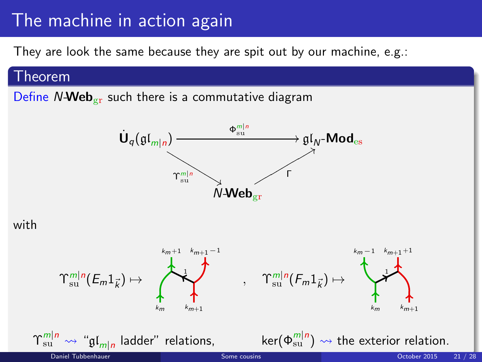### The machine in action again

They are look the same because they are spit out by our machine, e.g.:

#### Theorem

Define  $N$ -Web<sub>gr</sub> such there is a commutative diagram



with

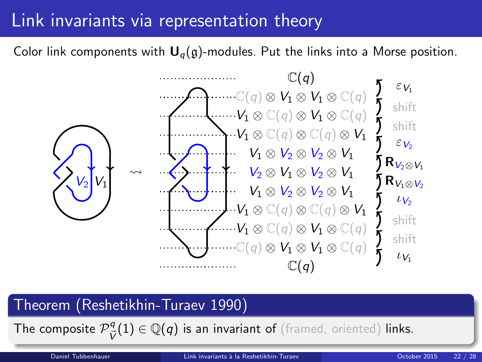### Link invariants via representation theory

Color link components with  $U_q(g)$ -modules. Put the links into a Morse position.



#### Theorem (Reshetikhin-Turaev 1990)

The composite  $\mathcal{P}_{\vec{V}}^q(1) \in \mathbb{Q}(q)$  is an invariant of (framed, oriented) links.

<span id="page-21-0"></span>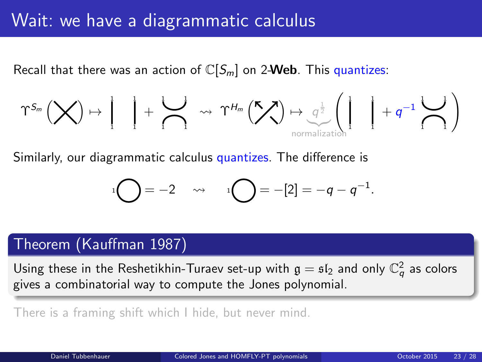### Wait: we have a diagrammatic calculus

Recall that there was an action of  $\mathbb{C}[S_m]$  on 2-Web. This quantizes:

$$
\Upsilon^{S_m}\left(\bigtimes\right)\mapsto\left.\begin{matrix} \rule{0pt}{12pt}\quad\quad\\ \rule{0pt}{12pt}\quad\quad\end{matrix}\right\vert\quad+\left.\begin{matrix}\rule{0pt}{12pt}\quad\quad\\ \rule{0pt}{12pt}\quad\end{matrix}\right\vert\quad\rightsquigarrow\quad\Upsilon^{H_m}\left(\bigtimes\right)\mapsto\underset{\text{normalization}}{\underbrace{\sigma^{\frac{1}{2}}}\left(\left.\begin{matrix} \rule{0pt}{12pt}\quad\quad\\ \rule{0pt}{12pt}\quad\end{matrix}\right\vert\quad+\left.\begin{matrix} q^{-1}\quad\quad\\ \rule{0pt}{12pt}\quad\end{matrix}\right\vert\right)
$$

Similarly, our diagrammatic calculus quantizes. The difference is

<span id="page-22-0"></span>
$$
{}^{1}\bigodot = -2 \quad \leadsto \quad {}^{1}\bigodot = -[2] = -q - q^{-1}.
$$

### Theorem (Kauffman 1987)

Using these in the Reshetikhin-Turaev set-up with  $\mathfrak{g}=\mathfrak{sl}_2$  and only  $\mathbb{C}_q^2$  as colors gives a combinatorial way to compute the Jones polynomial.

There is a framing shift which I hide, but never mind.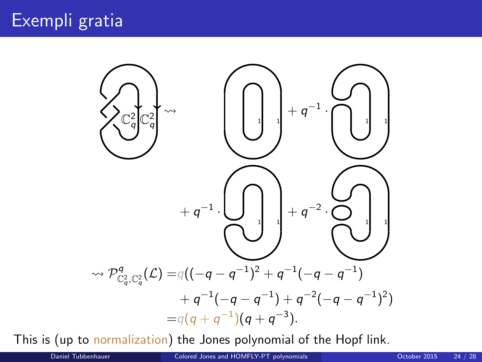

This is (up to normalization) the Jones polynomial of the Hopf link.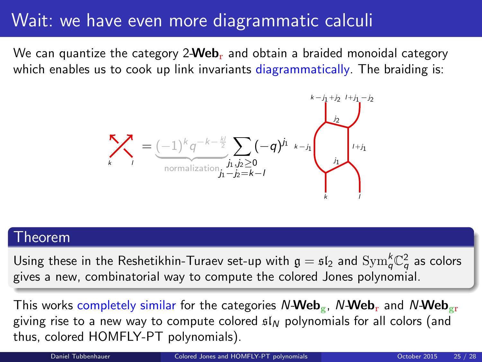### Wait: we have even more diagrammatic calculi

We can quantize the category 2-**Web**<sub>r</sub> and obtain a braided monoidal category which enables us to cook up link invariants diagrammatically. The braiding is:



#### Theorem

Using these in the Reshetikhin-Turaev set-up with  $\mathfrak{g}=\mathfrak{sl}_2$  and  $\mathrm{Sym}_q^k\mathbb{C}_q^2$  as colors gives a new, combinatorial way to compute the colored Jones polynomial.

This works completely similar for the categories N-Web<sub>g</sub>, N-Web<sub>r</sub> and N-Web<sub>gr</sub> giving rise to a new way to compute colored  $f_N$  polynomials for all colors (and thus, colored HOMFLY-PT polynomials).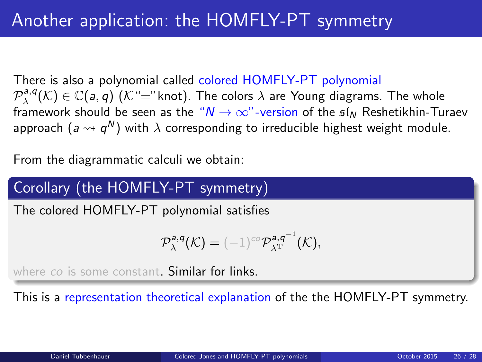There is also a polynomial called colored HOMFLY-PT polynomial  $\mathcal{P}^{a,q}_\lambda(\mathcal{K})\in \mathbb{C}(\mathsf{a},\mathsf{q})$   $(\mathcal{K}\text{``=''}$ knot). The colors  $\lambda$  are Young diagrams. The whole framework should be seen as the " $N \rightarrow \infty$ "-version of the  $\mathfrak{sl}_N$  Reshetikhin-Turaev approach  $(a \leadsto q^{\mathsf{N}})$  with  $\lambda$  corresponding to irreducible highest weight module.

From the diagrammatic calculi we obtain:

### Corollary (the HOMFLY-PT symmetry)

The colored HOMFLY-PT polynomial satisfies

$$
\mathcal{P}_{\lambda}^{a,q}(\mathcal{K}) = (-1)^{co} \mathcal{P}_{\lambda^{\mathrm{T}}}^{a,q^{-1}}(\mathcal{K}),
$$

where co is some constant. Similar for links.

This is a representation theoretical explanation of the the HOMFLY-PT symmetry.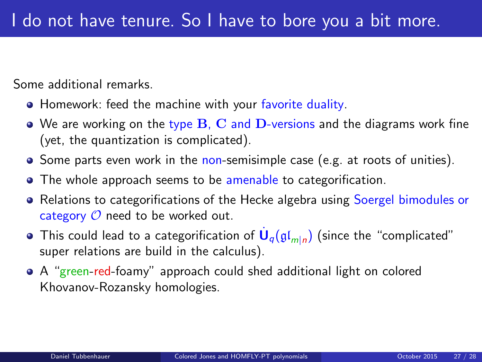Some additional remarks.

- Homework: feed the machine with your favorite duality.
- $\bullet$  We are working on the type B, C and D-versions and the diagrams work fine (yet, the quantization is complicated).
- $\bullet$  Some parts even work in the non-semisimple case (e.g. at roots of unities).
- The whole approach seems to be amenable to categorification.
- Relations to categorifications of the Hecke algebra using Soergel bimodules or category  $\mathcal O$  need to be worked out.
- This could lead to a categorification of  $\dot{\mathsf{U}}_q(\mathfrak{gl}_{m|n})$  (since the "complicated" super relations are build in the calculus).
- A "green-red-foamy" approach could shed additional light on colored Khovanov-Rozansky homologies.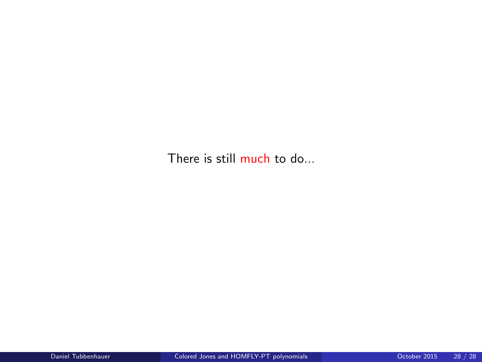There is still much to do...